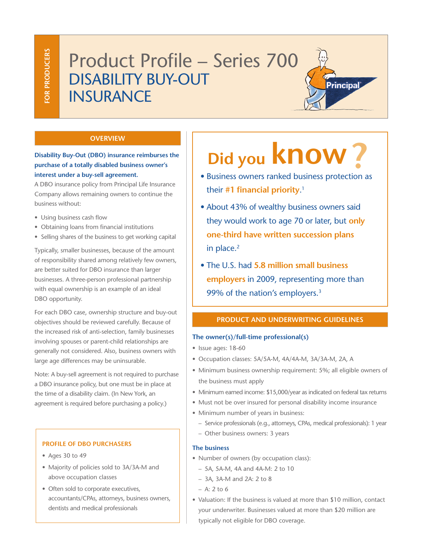## Product Profile – Series 700 Disability buy-out **INSURANCE**

#### **Overview**

**Disability Buy-Out (DBO) insurance reimburses the purchase of a totally disabled business owner's interest under a buy-sell agreement.** 

A DBO insurance policy from Principal Life Insurance Company allows remaining owners to continue the business without:

- Using business cash flow
- Obtaining loans from financial institutions
- Selling shares of the business to get working capital

Typically, smaller businesses, because of the amount of responsibility shared among relatively few owners, are better suited for DBO insurance than larger businesses. A three-person professional partnership with equal ownership is an example of an ideal DBO opportunity.

For each DBO case, ownership structure and buy-out objectives should be reviewed carefully. Because of the increased risk of anti-selection, family businesses involving spouses or parent-child relationships are generally not considered. Also, business owners with large age differences may be uninsurable.

Note: A buy-sell agreement is not required to purchase a DBO insurance policy, but one must be in place at the time of a disability claim. (In New York, an agreement is required before purchasing a policy.)

#### **Profile of DBO purchasers**

- Ages 30 to 49
- Majority of policies sold to 3A/3A-M and above occupation classes
- Often sold to corporate executives, accountants/CPAs, attorneys, business owners, dentists and medical professionals

# **Did you KNOW?**<br>• Business owners ranked business protection as

Principal

- their **#1 financial priority**. 1
- About 43% of wealthy business owners said they would work to age 70 or later, but **only one-third have written succession plans** in place.<sup>2</sup>
- The U.S. had **5.8 million small business employers** in 2009, representing more than 99% of the nation's employers.3

#### **Product and underwriting guidelines**

#### **The owner(s)/full-time professional(s)**

- Issue ages: 18-60
- Occupation classes: 5A/5A-M, 4A/4A-M, 3A/3A-M, 2A, A
- Minimum business ownership requirement: 5%; all eligible owners of the business must apply
- Minimum earned income: \$15,000/year as indicated on federal tax returns
- Must not be over insured for personal disability income insurance
- Minimum number of years in business:
	- Service professionals (e.g., attorneys, CPAs, medical professionals): 1 year
	- Other business owners: 3 years

#### **The business**

- Number of owners (by occupation class):
	- 5A, 5A-M, 4A and 4A-M: 2 to 10
	- 3A, 3A-M and 2A: 2 to 8
	- $A: 2 to 6$
- Valuation: If the business is valued at more than \$10 million, contact your underwriter. Businesses valued at more than \$20 million are typically not eligible for DBO coverage.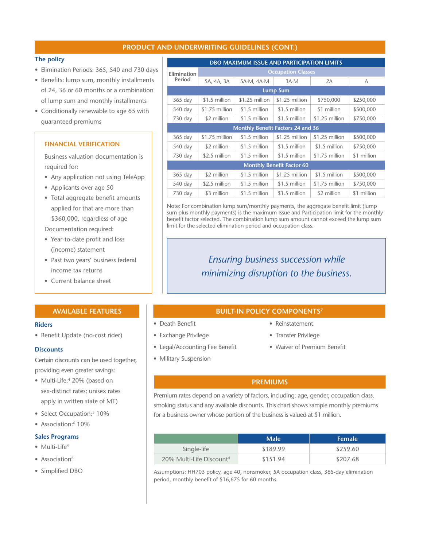#### **Product and underwriting guidelines (CONT.)**

#### **The policy**

- Elimination Periods: 365, 540 and 730 days
- Benefits: lump sum, monthly installments of 24, 36 or 60 months or a combination of lump sum and monthly installments
- Conditionally renewable to age 65 with guaranteed premiums

#### **Financial Verification**

Business valuation documentation is required for:

- Any application not using TeleApp
- Applicants over age 50
- Total aggregate benefit amounts applied for that are more than \$360,000, regardless of age

Documentation required:

- Year-to-date profit and loss (income) statement
- Past two years' business federal income tax returns
- Current balance sheet

#### **Available features**

#### **Riders**

• Benefit Update (no-cost rider)

#### **Discounts**

Certain discounts can be used together, providing even greater savings:

- Multi-Life:<sup>4</sup> 20% (based on sex-distinct rates; unisex rates apply in written state of MT)
- Select Occupation:<sup>5</sup> 10%
- Association:<sup>6</sup> 10%

#### **Sales Programs**

- Multi-Life<sup>4</sup>
- Association<sup>6</sup>
- Simplified DBO

| <b>DBO MAXIMUM ISSUE AND PARTICIPATION LIMITS</b> |                           |                |                |                |             |  |  |  |
|---------------------------------------------------|---------------------------|----------------|----------------|----------------|-------------|--|--|--|
| Elimination<br>Period                             | <b>Occupation Classes</b> |                |                |                |             |  |  |  |
|                                                   | 5A, 4A, 3A                | 5A-M, 4A-M     | 3A-M           | 2A             | А           |  |  |  |
| <b>Lump Sum</b>                                   |                           |                |                |                |             |  |  |  |
| $365$ day                                         | \$1.5 million             | \$1.25 million | \$1.25 million | \$750,000      | \$250,000   |  |  |  |
| 540 day                                           | \$1.75 million            | \$1.5 million  | \$1.5 million  | \$1 million    | \$500,000   |  |  |  |
| 730 day                                           | \$2 million               | \$1.5 million  | \$1.5 million  | \$1.25 million | \$750,000   |  |  |  |
| <b>Monthly Benefit Factors 24 and 36</b>          |                           |                |                |                |             |  |  |  |
| $365$ day                                         | \$1.75 million            | \$1.5 million  | \$1.25 million | \$1.25 million | \$500,000   |  |  |  |
| 540 day                                           | \$2 million               | \$1.5 million  | \$1.5 million  | \$1.5 million  | \$750,000   |  |  |  |
| 730 day                                           | \$2.5 million             | \$1.5 million  | \$1.5 million  | \$1.75 million | \$1 million |  |  |  |
| <b>Monthly Benefit Factor 60</b>                  |                           |                |                |                |             |  |  |  |
| $365$ day                                         | \$2 million               | \$1.5 million  | \$1.25 million | \$1.5 million  | \$500,000   |  |  |  |
| 540 day                                           | \$2.5 million             | \$1.5 million  | \$1.5 million  | \$1.75 million | \$750,000   |  |  |  |
| 730 day                                           | \$3 million               | \$1.5 million  | \$1.5 million  | \$2 million    | \$1 million |  |  |  |

Note: For combination lump sum/monthly payments, the aggregate benefit limit (lump sum plus monthly payments) is the maximum Issue and Participation limit for the monthly benefit factor selected. The combination lump sum amount cannot exceed the lump sum limit for the selected elimination period and occupation class.

### *Ensuring business succession while minimizing disruption to the business.*

#### **BUILT-IN POLICY COMPONENTS7**

- Death Benefit
- Exchange Privilege
- 
- Military Suspension
- Reinstatement
- Transfer Privilege
- Waiver of Premium Benefit

#### **Premiums**

Premium rates depend on a variety of factors, including: age, gender, occupation class, smoking status and any available discounts. This chart shows sample monthly premiums for a business owner whose portion of the business is valued at \$1 million.

|                                      | $_{\blacksquare}$ Male | <b>Female</b> |
|--------------------------------------|------------------------|---------------|
| Single-life                          | \$189.99               | \$259.60      |
| 20% Multi-Life Discount <sup>4</sup> | \$151.94               | \$207.68      |

Assumptions: HH703 policy, age 40, nonsmoker, 5A occupation class, 365-day elimination period, monthly benefit of \$16,675 for 60 months.

- 
- 
- Legal/Accounting Fee Benefit
	-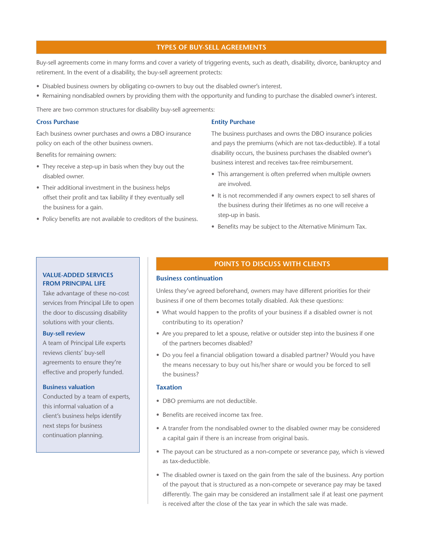#### **types of buy-sell agreements**

Buy-sell agreements come in many forms and cover a variety of triggering events, such as death, disability, divorce, bankruptcy and retirement. In the event of a disability, the buy-sell agreement protects:

- Disabled business owners by obligating co-owners to buy out the disabled owner's interest.
- Remaining nondisabled owners by providing them with the opportunity and funding to purchase the disabled owner's interest.

There are two common structures for disability buy-sell agreements:

#### **Cross Purchase**

Each business owner purchases and owns a DBO insurance policy on each of the other business owners.

Benefits for remaining owners:

- They receive a step-up in basis when they buy out the disabled owner.
- Their additional investment in the business helps offset their profit and tax liability if they eventually sell the business for a gain.
- Policy benefits are not available to creditors of the business.

#### **Entity Purchase**

The business purchases and owns the DBO insurance policies and pays the premiums (which are not tax-deductible). If a total disability occurs, the business purchases the disabled owner's business interest and receives tax-free reimbursement.

- This arrangement is often preferred when multiple owners are involved.
- It is not recommended if any owners expect to sell shares of the business during their lifetimes as no one will receive a step-up in basis.
- Benefits may be subject to the Alternative Minimum Tax.

#### **Value-added services from Principal Life**

Take advantage of these no-cost services from Principal Life to open the door to discussing disability solutions with your clients.

#### **Buy-sell review**

A team of Principal Life experts reviews clients' buy-sell agreements to ensure they're effective and properly funded.

#### **Business valuation**

Conducted by a team of experts, this informal valuation of a client's business helps identify next steps for business continuation planning.

#### **POINTS TO DISCUSS WITH CLIENTS**

#### **Business continuation**

Unless they've agreed beforehand, owners may have different priorities for their business if one of them becomes totally disabled. Ask these questions:

- What would happen to the profits of your business if a disabled owner is not contributing to its operation?
- Are you prepared to let a spouse, relative or outsider step into the business if one of the partners becomes disabled?
- Do you feel a financial obligation toward a disabled partner? Would you have the means necessary to buy out his/her share or would you be forced to sell the business?

#### **Taxation**

- DBO premiums are not deductible.
- Benefits are received income tax free.
- A transfer from the nondisabled owner to the disabled owner may be considered a capital gain if there is an increase from original basis.
- The payout can be structured as a non-compete or severance pay, which is viewed as tax-deductible.
- The disabled owner is taxed on the gain from the sale of the business. Any portion of the payout that is structured as a non-compete or severance pay may be taxed differently. The gain may be considered an installment sale if at least one payment is received after the close of the tax year in which the sale was made.